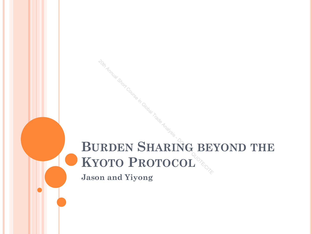# **BURDEN SHARING BEYOND THE KYOTO PROTOCOL** <sup>201</sup>An<sub>nual Space</sub> in Global Course in Global Trade Analysis - DO TO PROTOCOL <sup>OR</sup>

**Jason and Yiyong**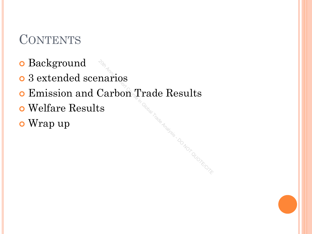# **CONTENTS**

- **o** Background
- 3 extended scenarios
- Emission and Carbon Trade Results

**Leis-DO NOT QUOTE/CIT** 

- Welfare Results
- Wrap up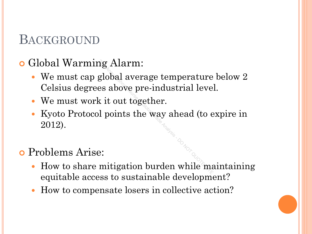#### BACKGROUND

#### Global Warming Alarm:

- We must cap global average temperature below 2 Celsius degrees above pre-industrial level.  $\begin{aligned} \text{arg.} \text{Alarm:} \ \text{global average temperature} \ \text{as above pre-industrial level} \ \text{with } \mathbf{r} \text{ is the way ahead (to each of the image) \ \text{with } \mathbf{r} \text{ is a single number of edges.} \ \text{in,} \ \text{in,} \ \text{in,} \ \text{in,} \ \text{in,} \ \text{in,} \ \text{in,} \ \text{in,} \ \text{in,} \ \text{in,} \ \text{in,} \ \text{in,} \ \text{in,} \ \text{in,} \ \text{in,} \ \text{in,} \ \text{in,} \ \text{in,} \ \text{in,$
- We must work it out together.
- Kyoto Protocol points the way ahead (to expire in 2012).

#### Problems Arise:

- How to share mitigation burden while maintaining equitable access to sustainable development?
- How to compensate losers in collective action?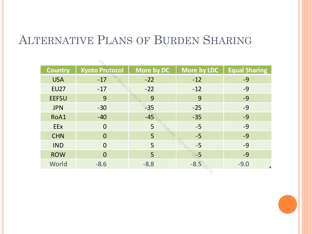#### ALTERNATIVE PLANS OF BURDEN SHARING

| <b>Country</b> | <b>Kyoto Protocol</b> | More by DC | More by LDC | <b>Equal Sharing</b> |
|----------------|-----------------------|------------|-------------|----------------------|
| <b>USA</b>     | $-17$                 | $-22$      | $-12$       | $-9$                 |
| <b>EU27</b>    | $-17$                 | $-22$      | $-12$       | $-9$                 |
| <b>EEFSU</b>   | 9                     | 9          | 9           | $-9$                 |
| <b>JPN</b>     | $-30$                 | ′35        | $-25$       | $-9$                 |
| RoA1           | $-40$                 | $-45$      | $-35$       | $-9$                 |
| <b>EEx</b>     | $\overline{0}$        | 5          | $-5$        | $-9$                 |
| <b>CHN</b>     | $\Omega$              | 5          | $-5$        | $-9$                 |
| <b>IND</b>     | $\Omega$              | 5          | $-5$        | $-9$                 |
| <b>ROW</b>     | $\Omega$              | 5          | -5          | $-9$                 |
| World          | $-8.6$                | $-8.8$     | $-8.5$      | $-9.0$               |
|                |                       |            |             |                      |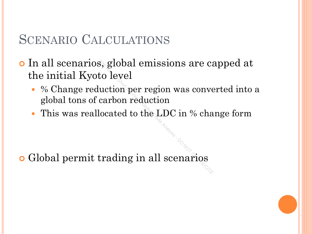#### SCENARIO CALCULATIONS

 In all scenarios, global emissions are capped at the initial Kyoto level  $\begin{aligned} \text{a, global emissions are c:} \ \text{to level} \ \text{luction per region was convex} \ \text{carbon reduction} \ \text{located to the LDC in \% cha} \ \text{trading in all scenarios} \end{aligned}$ 

- % Change reduction per region was converted into a global tons of carbon reduction
- This was reallocated to the LDC in % change form

Global permit trading in all scenarios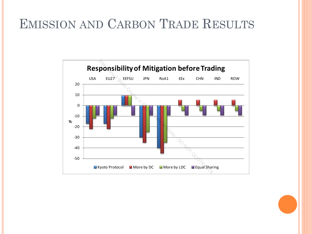### EMISSION AND CARBON TRADE RESULTS

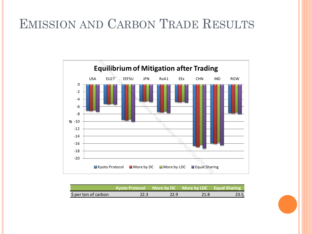# EMISSION AND CARBON TRADE RESULTS



|                      | Kyoto Protocol More by DC More by LDC Equal Sharing |      |      |  |
|----------------------|-----------------------------------------------------|------|------|--|
| \$ per ton of carbon |                                                     | 22.9 | 21.8 |  |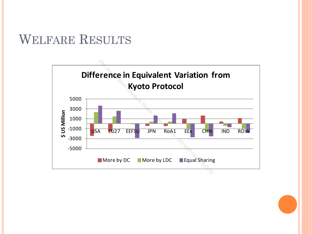### WELFARE RESULTS

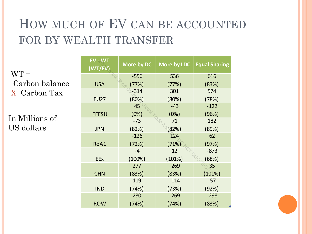# HOW MUCH OF EV CAN BE ACCOUNTED FOR BY WEALTH TRANSFER

**EV - WT (WT/EV) More by DC More by LDC Equal Sharing** USA -556 (77%) 536 (77%) 616 (83%) EU27  $-314$ (80%) 301 (80%) 574 (78%) EEFSU 45 (0%) -43 (0%)  $-122$ (96%) JPN -73 (82%) 71 (82%) 182 (89%) RoA1 -126 (72%) 124 (71%) 62 (97%) EEx -4 (100%) 12 (101%) -873 (68%) **CHN** 277 (83%) -269 (83%) 35 (101%) IND 119 (74%) -114 (73%) -57 (92%) ROW 280 (74%) -269 (74%) -298 (83%)  $WT =$ Carbon balance X Carbon Tax In Millions of US dollars 20th Annual Short Course in Global Trade Analysis Course in Global Trade Analysis Course in Global Trade Analysis Course in Global Trade Analysis Course in Global Trade Analysis Course in Global Trade Analysis Course in Gl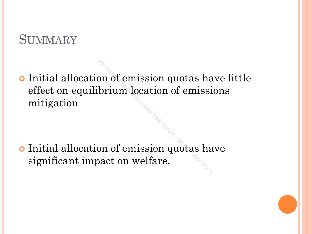#### **SUMMARY**

 Initial allocation of emission quotas have little effect on equilibrium location of emissions mitigation  $\begin{array}{c} \circ_{\mathbb{Z}}\ \mathbb{Z}\ \mathbb{Z} \ \mathbb{Z} \end{array}$  of emission quotas has basic on welfare.

 Initial allocation of emission quotas have significant impact on welfare.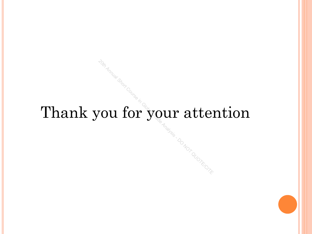# Thank you for your attention <sup>201</sup>2 Annual Short Course in Global Trade Analysis - Download Trade Analysis - Download Analysis - Download Dra<br>Analysis - Download Drame Analysis - Download Drame Drame Drame Drame Drame Drame Drame Drame Drame Drame Dra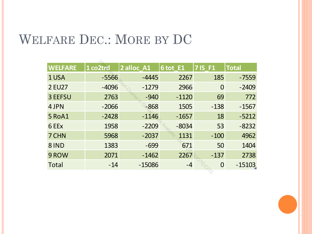# WELFARE DEC.: MORE BY DC

| <b>WELFARE</b> | 1 co2trd | 2 alloc A1 | 6 tot E1 | $7$ is F1      | <b>Total</b> |
|----------------|----------|------------|----------|----------------|--------------|
| 1 USA          | $-5566$  | $-4445$    | 2267     | 185            | $-7559$      |
| <b>2 EU27</b>  | $-4096$  | $-1279$    | 2966     | 0              | $-2409$      |
| 3 EEFSU        | 2763     | $-940$     | $-1120$  | 69             | 772          |
| 4 JPN          | $-2066$  | $-868$     | 1505     | $-138$         | $-1567$      |
| 5 RoA1         | $-2428$  | $-1146$    | $-1657$  | 18             | $-5212$      |
| 6 EEx          | 1958     | $-2209$    | $-8034$  | 53             | $-8232$      |
| 7 CHN          | 5968     | $-2037$    | 1131     | $-100$         | 4962         |
| 8IND           | 1383     | $-699$     | 671      | 50             | 1404         |
| 9 ROW          | 2071     | $-1462$    | 2267     | $-137$         | 2738         |
| <b>Total</b>   | $-14$    | $-15086$   | $-4$     | $\overline{0}$ | $-15103$     |
|                |          |            |          |                |              |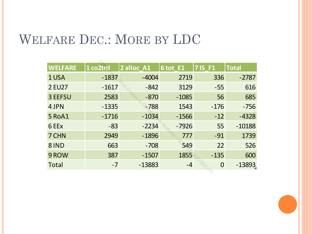### WELFARE DEC.: MORE BY LDC

| <b>WELFARE</b> | 1 co2trd | 2 alloc_A1 | 6 tot E1 | <b>7IS F1</b>  | <b>Total</b> |
|----------------|----------|------------|----------|----------------|--------------|
| 1 USA          | $-1837$  | $-4004$    | 2719     | 336            | $-2787$      |
| <b>2 EU27</b>  | $-1617$  | $-842$     | 3129     | $-55$          | 616          |
| 3 EEFSU        | 2583     | $-870$     | $-1085$  | 56             | 685          |
| 4 JPN          | $-1335$  | $-788$     | 1543     | $-176$         | $-756$       |
| 5 RoA1         | $-1716$  | $-1034$    | $-1566$  | $-12$          | $-4328$      |
| 6 EEx          | $-83$    | $-2234$    | $-7926$  | 55             | $-10188$     |
| 7 CHN          | 2949     | $-1896$    | 777      | $-91$          | 1739         |
| 8IND           | 663      | $-708$     | 549      | 22             | 526          |
| 9 ROW          | 387      | $-1507$    | 1855     | $-135$         | 600          |
| <b>Total</b>   | $-7$     | $-13883$   | -4       | $\overline{0}$ | $-13893$     |
|                |          |            |          |                |              |